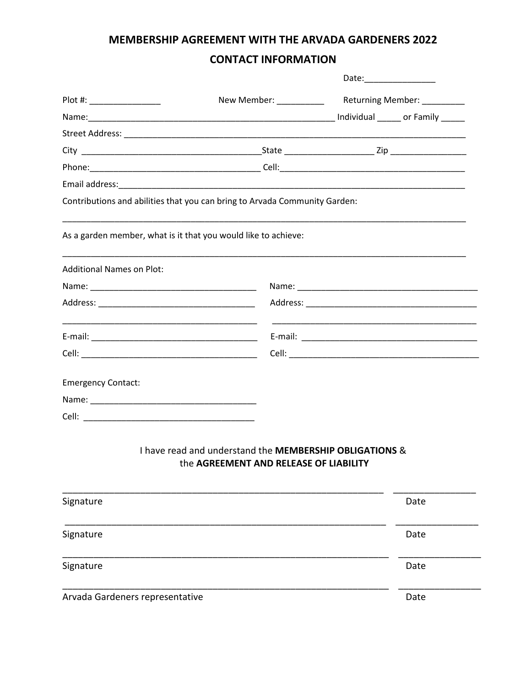### MEMBERSHIP AGREEMENT WITH THE ARVADA GARDENERS 2022

## **CONTACT INFORMATION**

|                                                               |                                                                                                                      | Date:_________________                                |
|---------------------------------------------------------------|----------------------------------------------------------------------------------------------------------------------|-------------------------------------------------------|
| Plot #: _________________                                     |                                                                                                                      | New Member: _____________ Returning Member: _________ |
|                                                               |                                                                                                                      |                                                       |
|                                                               |                                                                                                                      |                                                       |
|                                                               |                                                                                                                      |                                                       |
|                                                               |                                                                                                                      |                                                       |
|                                                               |                                                                                                                      |                                                       |
|                                                               | Contributions and abilities that you can bring to Arvada Community Garden:                                           |                                                       |
|                                                               | As a garden member, what is it that you would like to achieve:                                                       |                                                       |
|                                                               |                                                                                                                      |                                                       |
|                                                               |                                                                                                                      |                                                       |
|                                                               |                                                                                                                      |                                                       |
|                                                               |                                                                                                                      |                                                       |
|                                                               | <u> 1989 - Johann John Stone, markin film yn y brenin y brenin y brenin y brenin y brenin y brenin y brenin y br</u> |                                                       |
|                                                               |                                                                                                                      |                                                       |
|                                                               |                                                                                                                      |                                                       |
| <b>Additional Names on Plot:</b><br><b>Emergency Contact:</b> |                                                                                                                      |                                                       |

# the AGREEMENT AND RELEASE OF LIABILITY

| Signature                       | Date |
|---------------------------------|------|
| Signature                       | Date |
| Signature                       | Date |
| Arvada Gardeners representative | Date |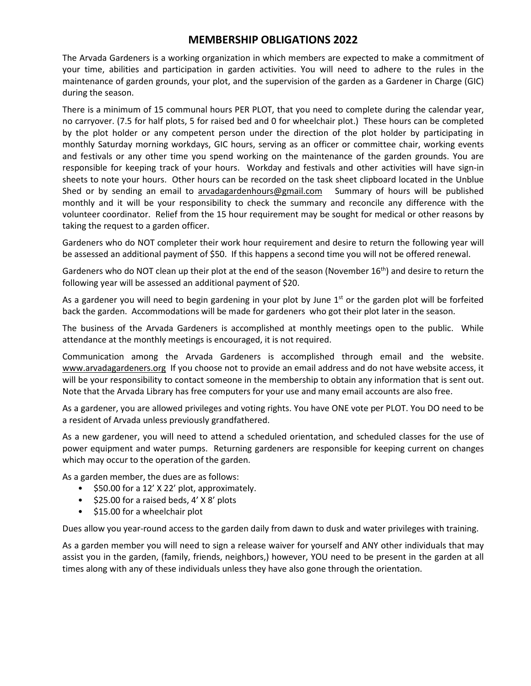#### **MEMBERSHIP OBLIGATIONS 2022**

The Arvada Gardeners is a working organization in which members are expected to make a commitment of your time, abilities and participation in garden activities. You will need to adhere to the rules in the maintenance of garden grounds, your plot, and the supervision of the garden as a Gardener in Charge (GIC) during the season.

There is a minimum of 15 communal hours PER PLOT, that you need to complete during the calendar year, no carryover. (7.5 for half plots, 5 for raised bed and 0 for wheelchair plot.) These hours can be completed by the plot holder or any competent person under the direction of the plot holder by participating in monthly Saturday morning workdays, GIC hours, serving as an officer or committee chair, working events and festivals or any other time you spend working on the maintenance of the garden grounds. You are responsible for keeping track of your hours. Workday and festivals and other activities will have sign-in sheets to note your hours. Other hours can be recorded on the task sheet clipboard located in the Unblue Shed or by sending an email to arvadagardenhours@gmail.com Summary of hours will be published monthly and it will be your responsibility to check the summary and reconcile any difference with the volunteer coordinator. Relief from the 15 hour requirement may be sought for medical or other reasons by taking the request to a garden officer.

Gardeners who do NOT completer their work hour requirement and desire to return the following year will be assessed an additional payment of \$50. If this happens a second time you will not be offered renewal.

Gardeners who do NOT clean up their plot at the end of the season (November 16<sup>th</sup>) and desire to return the following year will be assessed an additional payment of \$20.

As a gardener you will need to begin gardening in your plot by June  $1<sup>st</sup>$  or the garden plot will be forfeited back the garden. Accommodations will be made for gardeners who got their plot later in the season.

The business of the Arvada Gardeners is accomplished at monthly meetings open to the public. While attendance at the monthly meetings is encouraged, it is not required.

Communication among the Arvada Gardeners is accomplished through email and the website. www.arvadagardeners.org If you choose not to provide an email address and do not have website access, it will be your responsibility to contact someone in the membership to obtain any information that is sent out. Note that the Arvada Library has free computers for your use and many email accounts are also free.

As a gardener, you are allowed privileges and voting rights. You have ONE vote per PLOT. You DO need to be a resident of Arvada unless previously grandfathered.

As a new gardener, you will need to attend a scheduled orientation, and scheduled classes for the use of power equipment and water pumps. Returning gardeners are responsible for keeping current on changes which may occur to the operation of the garden.

As a garden member, the dues are as follows:

- \$50.00 for a 12' X 22' plot, approximately.
- \$25.00 for a raised beds, 4' X 8' plots
- \$15.00 for a wheelchair plot

Dues allow you year-round access to the garden daily from dawn to dusk and water privileges with training.

As a garden member you will need to sign a release waiver for yourself and ANY other individuals that may assist you in the garden, (family, friends, neighbors,) however, YOU need to be present in the garden at all times along with any of these individuals unless they have also gone through the orientation.